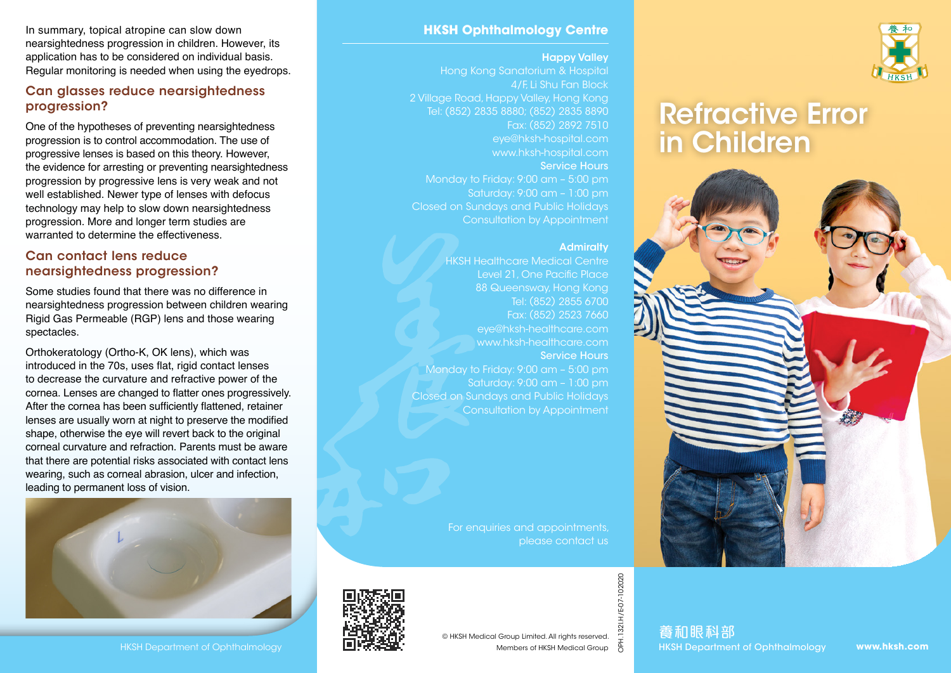In summary, topical atropine can slow down nearsightedness progression in children. However, its application has to be considered on individual basis. Regular monitoring is needed when using the eyedrops.

#### Can glasses reduce nearsightedness progression?

One of the hypotheses of preventing nearsightedness progression is to control accommodation. The use of progressive lenses is based on this theory. However, the evidence for arresting or preventing nearsightedness progression by progressive lens is very weak and not well established. Newer type of lenses with defocus technology may help to slow down nearsightedness progression. More and longer term studies are warranted to determine the effectiveness.

#### Can contact lens reduce nearsightedness progression?

Some studies found that there was no difference in nearsightedness progression between children wearing Rigid Gas Permeable (RGP) lens and those wearing spectacles.

Orthokeratology (Ortho-K, OK lens), which was introduced in the 70s, uses flat, rigid contact lenses to decrease the curvature and refractive power of the cornea. Lenses are changed to flatter ones progressively. After the cornea has been sufficiently flattened, retainer lenses are usually worn at night to preserve the modified shape, otherwise the eye will revert back to the original corneal curvature and refraction. Parents must be aware that there are potential risks associated with contact lens wearing, such as corneal abrasion, ulcer and infection, leading to permanent loss of vision.



#### **HKSH Ophthalmology Centre**

#### Happy Valley

Hong Kong Sanatorium & Hospital 4/F, Li Shu Fan Block 2 Village Road, Happy Valley, Hong Kong Tel: (852) 2835 8880; (852) 2835 8890 Fax: (852) 2892 7510 eye@hksh-hospital.com www.hksh-hospital.com Service Hours Monday to Friday: 9:00 am – 5:00 pm Saturday: 9:00 am – 1:00 pm Closed on Sundays and Public Holidays Consultation by Appointment

#### **Admiralty**

HKSH Healthcare Medical Centre Level 21, One Pacific Place 88 Queensway, Hong Kong Tel: (852) 2855 6700 Fax: (852) 2523 7660 eye@hksh-healthcare.com www.hksh-healthcare.com Service Hours Monday to Friday: 9:00 am – 5:00 pm Saturday: 9:00 am – 1:00 pm Closed on Sundays and Public Holidays Consultation by Appointment

> For enquiries and appointments, please contact us



OPH.132I.H/E-07-102020

1321.H/E-07-102020





# Refractive Error in Children